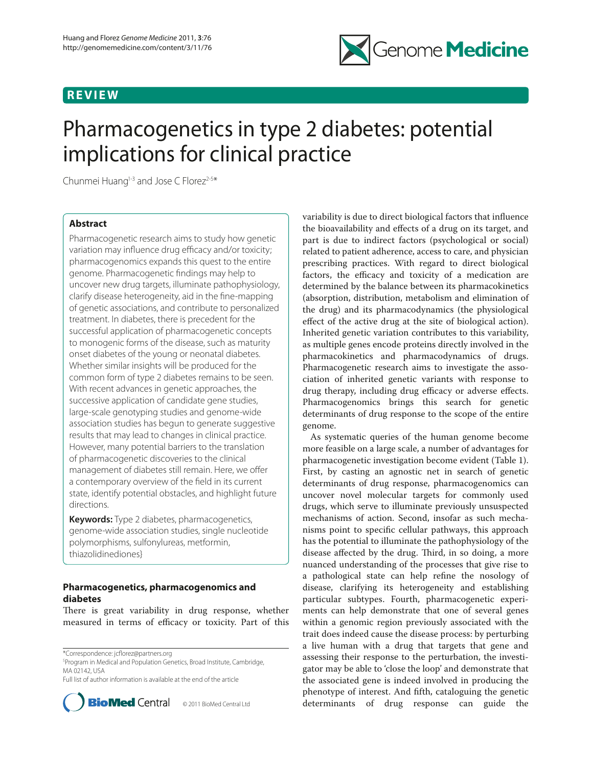# **REVIEW**



# Pharmacogenetics in type 2 diabetes: potential implications for clinical practice

Chunmei Huang<sup>1-3</sup> and Jose C Florez<sup>2-5\*</sup>

# **Abstract**

Pharmacogenetic research aims to study how genetic variation may influence drug efficacy and/or toxicity; pharmacogenomics expands this quest to the entire genome. Pharmacogenetic findings may help to uncover new drug targets, illuminate pathophysiology, clarify disease heterogeneity, aid in the fine-mapping of genetic associations, and contribute to personalized treatment. In diabetes, there is precedent for the successful application of pharmacogenetic concepts to monogenic forms of the disease, such as maturity onset diabetes of the young or neonatal diabetes. Whether similar insights will be produced for the common form of type 2 diabetes remains to be seen. With recent advances in genetic approaches, the successive application of candidate gene studies, large-scale genotyping studies and genome-wide association studies has begun to generate suggestive results that may lead to changes in clinical practice. However, many potential barriers to the translation of pharmacogenetic discoveries to the clinical management of diabetes still remain. Here, we offer a contemporary overview of the field in its current state, identify potential obstacles, and highlight future directions.

**Keywords:** Type 2 diabetes, pharmacogenetics, genome-wide association studies, single nucleotide polymorphisms, sulfonylureas, metformin, thiazolidinediones}

# **Pharmacogenetics, pharmacogenomics and diabetes**

There is great variability in drug response, whether measured in terms of efficacy or toxicity. Part of this

\*Correspondence: jcflorez@partners.org

5 Program in Medical and Population Genetics, Broad Institute, Cambridge, MA 02142, USA

Full list of author information is available at the end of the article



variability is due to direct biological factors that influence the bioavailability and effects of a drug on its target, and part is due to indirect factors (psychological or social) related to patient adherence, access to care, and physician prescribing practices. With regard to direct biological factors, the efficacy and toxicity of a medication are determined by the balance between its pharmacokinetics (absorption, distribution, metabolism and elimination of the drug) and its pharmacodynamics (the physiological effect of the active drug at the site of biological action). Inherited genetic variation contributes to this variability, as multiple genes encode proteins directly involved in the pharmacokinetics and pharmacodynamics of drugs. Pharmacogenetic research aims to investigate the association of inherited genetic variants with response to drug therapy, including drug efficacy or adverse effects. Pharmacogenomics brings this search for genetic determinants of drug response to the scope of the entire genome.

As systematic queries of the human genome become more feasible on a large scale, a number of advantages for pharmacogenetic investigation become evident (Table 1). First, by casting an agnostic net in search of genetic determinants of drug response, pharmacogenomics can uncover novel molecular targets for commonly used drugs, which serve to illuminate previously unsuspected mechanisms of action. Second, insofar as such mechanisms point to specific cellular pathways, this approach has the potential to illuminate the pathophysiology of the disease affected by the drug. Third, in so doing, a more nuanced understanding of the processes that give rise to a pathological state can help refine the nosology of disease, clarifying its heterogeneity and establishing particular subtypes. Fourth, pharmacogenetic experiments can help demonstrate that one of several genes within a genomic region previously associated with the trait does indeed cause the disease process: by perturbing a live human with a drug that targets that gene and assessing their response to the perturbation, the investigator may be able to 'close the loop' and demonstrate that the associated gene is indeed involved in producing the phenotype of interest. And fifth, cataloguing the genetic determinants of drug response can guide the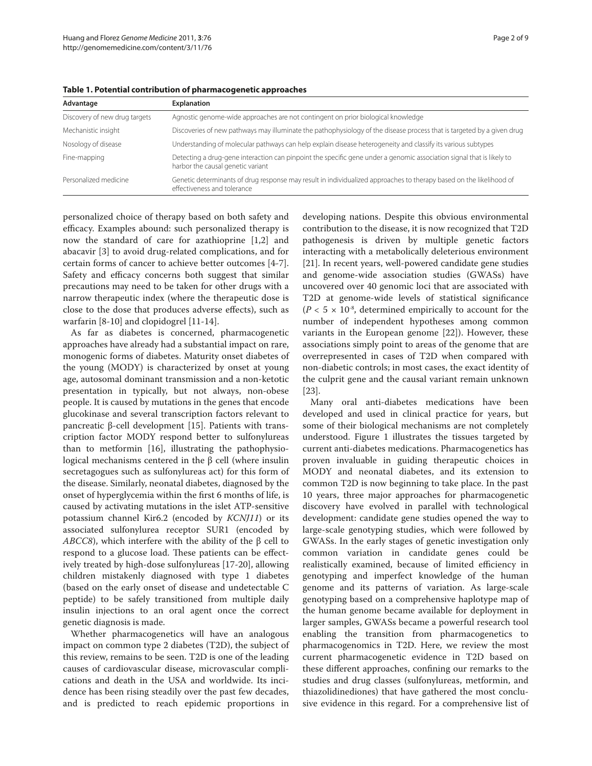| Advantage                     | <b>Explanation</b>                                                                                                                                         |  |  |  |
|-------------------------------|------------------------------------------------------------------------------------------------------------------------------------------------------------|--|--|--|
| Discovery of new drug targets | Agnostic genome-wide approaches are not contingent on prior biological knowledge                                                                           |  |  |  |
| Mechanistic insight           | Discoveries of new pathways may illuminate the pathophysiology of the disease process that is targeted by a given drug                                     |  |  |  |
| Nosology of disease           | Understanding of molecular pathways can help explain disease heterogeneity and classify its various subtypes                                               |  |  |  |
| Fine-mapping                  | Detecting a drug-gene interaction can pinpoint the specific gene under a genomic association signal that is likely to<br>harbor the causal genetic variant |  |  |  |
| Personalized medicine         | Genetic determinants of drug response may result in individualized approaches to therapy based on the likelihood of<br>effectiveness and tolerance         |  |  |  |

**Table 1. Potential contribution of pharmacogenetic approaches**

personalized choice of therapy based on both safety and efficacy. Examples abound: such personalized therapy is now the standard of care for azathioprine [1,2] and abacavir [3] to avoid drug-related complications, and for certain forms of cancer to achieve better outcomes [4-7]. Safety and efficacy concerns both suggest that similar precautions may need to be taken for other drugs with a narrow therapeutic index (where the therapeutic dose is close to the dose that produces adverse effects), such as warfarin [8-10] and clopidogrel [11-14].

As far as diabetes is concerned, pharmacogenetic approaches have already had a substantial impact on rare, monogenic forms of diabetes. Maturity onset diabetes of the young (MODY) is characterized by onset at young age, autosomal dominant transmission and a non-ketotic presentation in typically, but not always, non-obese people. It is caused by mutations in the genes that encode glucokinase and several transcription factors relevant to pancreatic β-cell development [15]. Patients with transcription factor MODY respond better to sulfonylureas than to metformin [16], illustrating the pathophysiological mechanisms centered in the β cell (where insulin secretagogues such as sulfonylureas act) for this form of the disease. Similarly, neonatal diabetes, diagnosed by the onset of hyperglycemia within the first 6 months of life, is caused by activating mutations in the islet ATP-sensitive potassium channel Kir6.2 (encoded by *KCNJ11*) or its associated sulfonylurea receptor SUR1 (encoded by *ABCC8*), which interfere with the ability of the β cell to respond to a glucose load. These patients can be effectively treated by high-dose sulfonylureas [17-20], allowing children mistakenly diagnosed with type 1 diabetes (based on the early onset of disease and undetectable C peptide) to be safely transitioned from multiple daily insulin injections to an oral agent once the correct genetic diagnosis is made.

Whether pharmacogenetics will have an analogous impact on common type 2 diabetes (T2D), the subject of this review, remains to be seen. T2D is one of the leading causes of cardiovascular disease, microvascular complications and death in the USA and worldwide. Its incidence has been rising steadily over the past few decades, and is predicted to reach epidemic proportions in

developing nations. Despite this obvious environmental contribution to the disease, it is now recognized that T2D pathogenesis is driven by multiple genetic factors interacting with a metabolically deleterious environment [21]. In recent years, well-powered candidate gene studies and genome-wide association studies (GWASs) have uncovered over 40 genomic loci that are associated with T2D at genome-wide levels of statistical significance  $(P < 5 \times 10^{-8})$ , determined empirically to account for the number of independent hypotheses among common variants in the European genome [22]). However, these associations simply point to areas of the genome that are overrepresented in cases of T2D when compared with non-diabetic controls; in most cases, the exact identity of the culprit gene and the causal variant remain unknown [23].

Many oral anti-diabetes medications have been developed and used in clinical practice for years, but some of their biological mechanisms are not completely understood. Figure 1 illustrates the tissues targeted by current anti-diabetes medications. Pharmacogenetics has proven invaluable in guiding therapeutic choices in MODY and neonatal diabetes, and its extension to common T2D is now beginning to take place. In the past 10 years, three major approaches for pharmacogenetic discovery have evolved in parallel with technological development: candidate gene studies opened the way to large-scale genotyping studies, which were followed by GWASs. In the early stages of genetic investigation only common variation in candidate genes could be realistically examined, because of limited efficiency in genotyping and imperfect knowledge of the human genome and its patterns of variation. As large-scale genotyping based on a comprehensive haplotype map of the human genome became available for deployment in larger samples, GWASs became a powerful research tool enabling the transition from pharmacogenetics to pharmacogenomics in T2D. Here, we review the most current pharmacogenetic evidence in T2D based on these different approaches, confining our remarks to the studies and drug classes (sulfonylureas, metformin, and thiazolidinediones) that have gathered the most conclusive evidence in this regard. For a comprehensive list of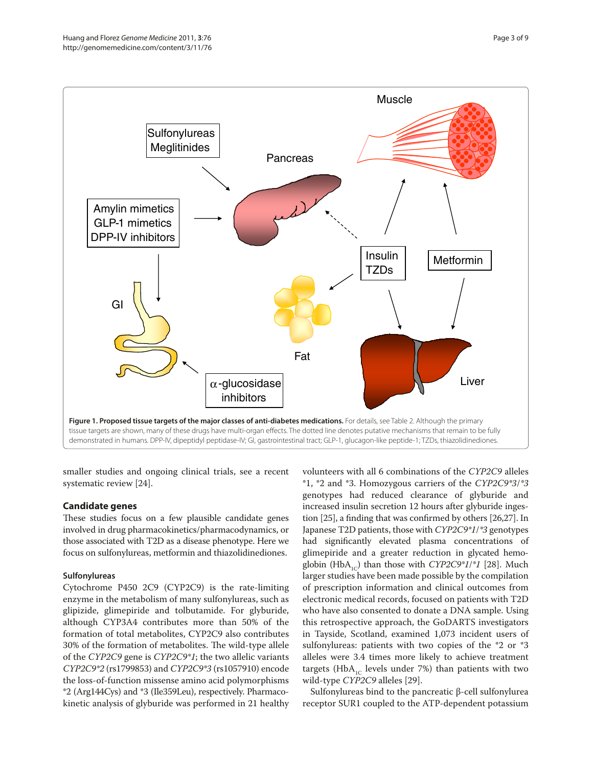

smaller studies and ongoing clinical trials, see a recent systematic review [24].

# **Candidate genes**

These studies focus on a few plausible candidate genes involved in drug pharmacokinetics/pharmacodynamics, or those associated with T2D as a disease phenotype. Here we focus on sulfonylureas, metformin and thiazolidinediones.

# **Sulfonylureas**

Cytochrome P450 2C9 (CYP2C9) is the rate-limiting enzyme in the metabolism of many sulfonylureas, such as glipizide, glimepiride and tolbutamide. For glyburide, although CYP3A4 contributes more than 50% of the formation of total metabolites, CYP2C9 also contributes 30% of the formation of metabolites. The wild-type allele of the *CYP2C9* gene is *CYP2C9\*1*; the two allelic variants *CYP2C9\*2* (rs1799853) and *CYP2C9\*3* (rs1057910) encode the loss-of-function missense amino acid polymorphisms \*2 (Arg144Cys) and \*3 (Ile359Leu), respectively. Pharmacokinetic analysis of glyburide was performed in 21 healthy volunteers with all 6 combinations of the *CYP2C9* alleles \*1, \*2 and \*3. Homozygous carriers of the *CYP2C9\*3*/*\*3*  genotypes had reduced clearance of glyburide and increased insulin secretion 12 hours after glyburide ingestion [25], a finding that was confirmed by others [26,27]. In Japanese T2D patients, those with *CYP2C9\*1*/*\*3* genotypes had significantly elevated plasma concentrations of glimepiride and a greater reduction in glycated hemoglobin (HbA<sub>1c</sub>) than those with *CYP2C9\*1/\*1* [28]. Much larger studies have been made possible by the compilation of prescription information and clinical outcomes from electronic medical records, focused on patients with T2D who have also consented to donate a DNA sample. Using this retrospective approach, the GoDARTS investigators in Tayside, Scotland, examined 1,073 incident users of sulfonylureas: patients with two copies of the \*2 or \*3 alleles were 3.4 times more likely to achieve treatment targets (HbA<sub>1C</sub> levels under 7%) than patients with two wild-type *CYP2C9* alleles [29].

Sulfonylureas bind to the pancreatic β-cell sulfonylurea receptor SUR1 coupled to the ATP-dependent potassium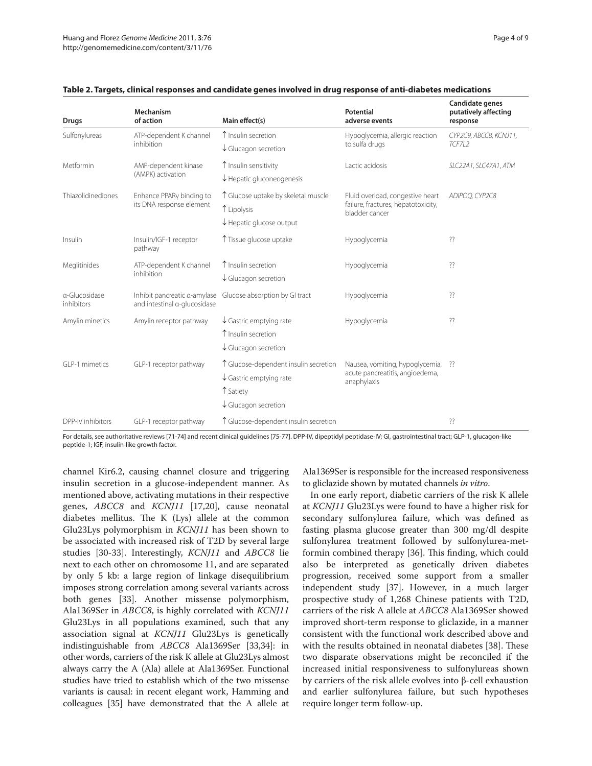| <b>Drugs</b>                       | Mechanism<br>of action                                       | Main effect(s)                        | <b>Potential</b><br>adverse events                                                        | Candidate genes<br>putatively affecting<br>response |
|------------------------------------|--------------------------------------------------------------|---------------------------------------|-------------------------------------------------------------------------------------------|-----------------------------------------------------|
| Sulfonylureas                      | ATP-dependent K channel<br>inhibition                        | ↑ Insulin secretion                   | Hypoglycemia, allergic reaction<br>to sulfa drugs                                         | CYP2C9, ABCC8, KCNJ11,<br>TCFZI2                    |
|                                    |                                                              | $\downarrow$ Glucagon secretion       |                                                                                           |                                                     |
| Metformin                          | AMP-dependent kinase<br>(AMPK) activation                    | ↑ Insulin sensitivity                 | Lactic acidosis                                                                           | SLC22A1, SLC47A1, ATM                               |
|                                    |                                                              | $\downarrow$ Hepatic gluconeogenesis  |                                                                                           |                                                     |
| Thiazolidinediones                 | Enhance PPARy binding to<br>its DNA response element         | ↑ Glucose uptake by skeletal muscle   | Fluid overload, congestive heart<br>failure, fractures, hepatotoxicity,<br>bladder cancer | ADIPOQ, CYP2C8                                      |
|                                    |                                                              | ↑ Lipolysis                           |                                                                                           |                                                     |
|                                    |                                                              | $\downarrow$ Hepatic glucose output   |                                                                                           |                                                     |
| Insulin                            | Insulin/IGF-1 receptor<br>pathway                            | ↑ Tissue glucose uptake               | Hypoglycemia                                                                              | ??                                                  |
| Meglitinides                       | ATP-dependent K channel<br>inhibition                        | ↑ Insulin secretion                   | Hypoglycemia                                                                              | ??                                                  |
|                                    |                                                              | $\downarrow$ Glucagon secretion       |                                                                                           |                                                     |
| a-Glucosidase<br><i>inhibitors</i> | Inhibit pancreatic a-amylase<br>and intestinal a-glucosidase | Glucose absorption by Gl tract        | Hypoglycemia                                                                              | ??                                                  |
| Amylin minetics                    | Amylin receptor pathway                                      | $\downarrow$ Gastric emptying rate    | Hypoglycemia                                                                              | ??                                                  |
|                                    |                                                              | ↑ Insulin secretion                   |                                                                                           |                                                     |
|                                    |                                                              | $\downarrow$ Glucagon secretion       |                                                                                           |                                                     |
| GLP-1 mimetics                     | GLP-1 receptor pathway                                       | ↑ Glucose-dependent insulin secretion | Nausea, vomiting, hypoglycemia,<br>acute pancreatitis, angioedema,<br>anaphylaxis         | - ??                                                |
|                                    |                                                              | $\downarrow$ Gastric emptying rate    |                                                                                           |                                                     |
|                                    |                                                              | ↑ Satiety                             |                                                                                           |                                                     |
|                                    |                                                              | $\downarrow$ Glucagon secretion       |                                                                                           |                                                     |
| DPP-IV inhibitors                  | GLP-1 receptor pathway                                       | ↑ Glucose-dependent insulin secretion |                                                                                           | ??                                                  |

### **Table 2. Targets, clinical responses and candidate genes involved in drug response of anti-diabetes medications**

For details, see authoritative reviews [71-74] and recent clinical guidelines [75-77]. DPP-IV, dipeptidyl peptidase-IV; GI, gastrointestinal tract; GLP-1, glucagon-like peptide-1; IGF, insulin-like growth factor.

channel Kir6.2, causing channel closure and triggering insulin secretion in a glucose-independent manner. As mentioned above, activating mutations in their respective genes, *ABCC8* and *KCNJ11* [17,20], cause neonatal diabetes mellitus. The K (Lys) allele at the common Glu23Lys polymorphism in *KCNJ11* has been shown to be associated with increased risk of T2D by several large studies [30-33]. Interestingly, *KCNJ11* and *ABCC8* lie next to each other on chromosome 11, and are separated by only 5 kb: a large region of linkage disequilibrium imposes strong correlation among several variants across both genes [33]. Another missense polymorphism, Ala1369Ser in *ABCC8*, is highly correlated with *KCNJ11*  Glu23Lys in all populations examined, such that any association signal at *KCNJ11* Glu23Lys is genetically indistinguishable from *ABCC8* Ala1369Ser [33,34]: in other words, carriers of the risk K allele at Glu23Lys almost always carry the A (Ala) allele at Ala1369Ser. Functional studies have tried to establish which of the two missense variants is causal: in recent elegant work, Hamming and colleagues [35] have demonstrated that the A allele at

Ala1369Ser is responsible for the increased responsiveness to gliclazide shown by mutated channels *in vitro*.

In one early report, diabetic carriers of the risk K allele at *KCNJ11* Glu23Lys were found to have a higher risk for secondary sulfonylurea failure, which was defined as fasting plasma glucose greater than 300 mg/dl despite sulfonylurea treatment followed by sulfonylurea-metformin combined therapy [36]. This finding, which could also be interpreted as genetically driven diabetes progression, received some support from a smaller independent study [37]. However, in a much larger prospective study of 1,268 Chinese patients with T2D, carriers of the risk A allele at *ABCC8* Ala1369Ser showed improved short-term response to gliclazide, in a manner consistent with the functional work described above and with the results obtained in neonatal diabetes [38]. These two disparate observations might be reconciled if the increased initial responsiveness to sulfonylureas shown by carriers of the risk allele evolves into β-cell exhaustion and earlier sulfonylurea failure, but such hypotheses require longer term follow-up.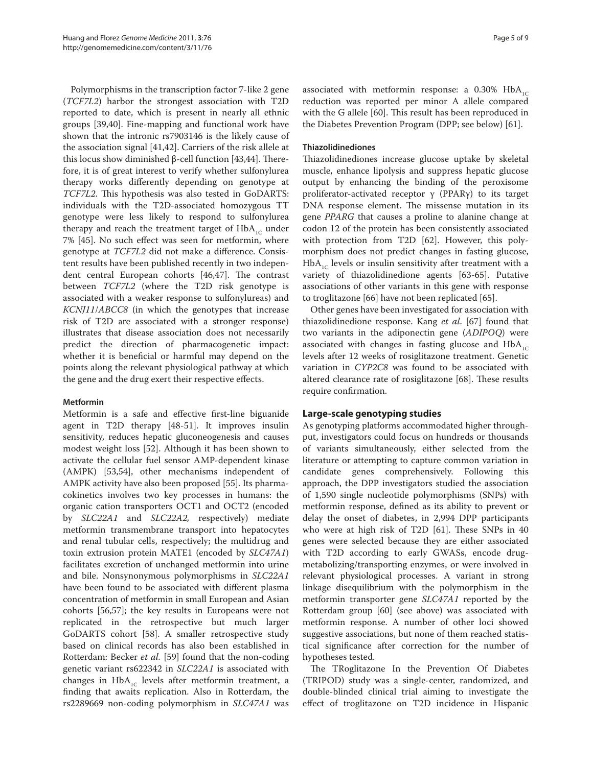Polymorphisms in the transcription factor 7-like 2 gene (*TCF7L2*) harbor the strongest association with T2D reported to date, which is present in nearly all ethnic groups [39,40]. Fine-mapping and functional work have shown that the intronic rs7903146 is the likely cause of the association signal [41,42]. Carriers of the risk allele at this locus show diminished β-cell function [43,44]. Therefore, it is of great interest to verify whether sulfonylurea therapy works differently depending on genotype at *TCF7L2*. This hypothesis was also tested in GoDARTS: individuals with the T2D-associated homozygous TT genotype were less likely to respond to sulfonylurea therapy and reach the treatment target of  $HbA_{1C}$  under 7% [45]. No such effect was seen for metformin, where genotype at *TCF7L2* did not make a difference. Consistent results have been published recently in two independent central European cohorts [46,47]. The contrast between *TCF7L2* (where the T2D risk genotype is associated with a weaker response to sulfonylureas) and *KCNJ11*/*ABCC8* (in which the genotypes that increase risk of T2D are associated with a stronger response) illustrates that disease association does not necessarily predict the direction of pharmacogenetic impact: whether it is beneficial or harmful may depend on the points along the relevant physiological pathway at which the gene and the drug exert their respective effects.

### **Metformin**

Metformin is a safe and effective first-line biguanide agent in T2D therapy [48-51]. It improves insulin sensitivity, reduces hepatic gluconeogenesis and causes modest weight loss [52]. Although it has been shown to activate the cellular fuel sensor AMP-dependent kinase (AMPK) [53,54], other mechanisms independent of AMPK activity have also been proposed [55]. Its pharmacokinetics involves two key processes in humans: the organic cation transporters OCT1 and OCT2 (encoded by *SLC22A1* and *SLC22A2,* respectively) mediate metformin transmembrane transport into hepatocytes and renal tubular cells, respectively; the multidrug and toxin extrusion protein MATE1 (encoded by *SLC47A1*) facilitates excretion of unchanged metformin into urine and bile. Nonsynonymous polymorphisms in *SLC22A1* have been found to be associated with different plasma concentration of metformin in small European and Asian cohorts [56,57]; the key results in Europeans were not replicated in the retrospective but much larger GoDARTS cohort [58]. A smaller retrospective study based on clinical records has also been established in Rotterdam: Becker *et al.* [59] found that the non-coding genetic variant rs622342 in *SLC22A1* is associated with changes in  $HbA_{1C}$  levels after metformin treatment, a finding that awaits replication. Also in Rotterdam, the rs2289669 non-coding polymorphism in *SLC47A1* was associated with metformin response: a  $0.30\%$  HbA<sub>1C</sub> reduction was reported per minor A allele compared with the G allele [60]. This result has been reproduced in the Diabetes Prevention Program (DPP; see below) [61].

### **Thiazolidinediones**

Thiazolidinediones increase glucose uptake by skeletal muscle, enhance lipolysis and suppress hepatic glucose output by enhancing the binding of the peroxisome proliferator-activated receptor  $γ$  (PPARγ) to its target DNA response element. The missense mutation in its gene *PPARG* that causes a proline to alanine change at codon 12 of the protein has been consistently associated with protection from T2D [62]. However, this polymorphism does not predict changes in fasting glucose,  $HbA_{1C}$  levels or insulin sensitivity after treatment with a variety of thiazolidinedione agents [63-65]. Putative associations of other variants in this gene with response to troglitazone [66] have not been replicated [65].

Other genes have been investigated for association with thiazolidinedione response. Kang *et al*. [67] found that two variants in the adiponectin gene (*ADIPOQ*) were associated with changes in fasting glucose and  $HbA_{1C}$ levels after 12 weeks of rosiglitazone treatment. Genetic variation in *CYP2C8* was found to be associated with altered clearance rate of rosiglitazone [68]. These results require confirmation.

### **Large-scale genotyping studies**

As genotyping platforms accommodated higher throughput, investigators could focus on hundreds or thousands of variants simultaneously, either selected from the literature or attempting to capture common variation in candidate genes comprehensively. Following this approach, the DPP investigators studied the association of 1,590 single nucleotide polymorphisms (SNPs) with metformin response, defined as its ability to prevent or delay the onset of diabetes, in 2,994 DPP participants who were at high risk of T2D [61]. These SNPs in 40 genes were selected because they are either associated with T2D according to early GWASs, encode drugmetabolizing/transporting enzymes, or were involved in relevant physiological processes. A variant in strong linkage disequilibrium with the polymorphism in the metformin transporter gene *SLC47A1* reported by the Rotterdam group [60] (see above) was associated with metformin response. A number of other loci showed suggestive associations, but none of them reached statistical significance after correction for the number of hypotheses tested.

The TRoglitazone In the Prevention Of Diabetes (TRIPOD) study was a single-center, randomized, and double-blinded clinical trial aiming to investigate the effect of troglitazone on T2D incidence in Hispanic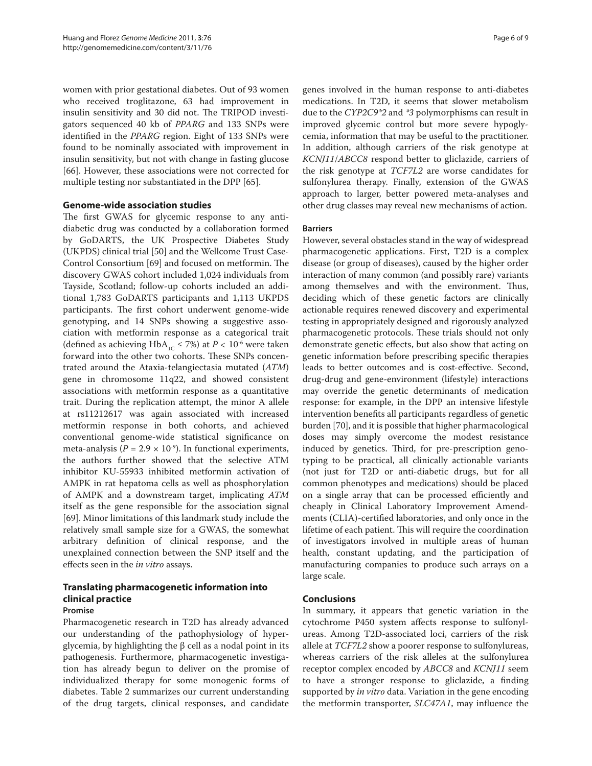women with prior gestational diabetes. Out of 93 women who received troglitazone, 63 had improvement in insulin sensitivity and 30 did not. The TRIPOD investigators sequenced 40 kb of *PPARG* and 133 SNPs were identified in the *PPARG* region. Eight of 133 SNPs were found to be nominally associated with improvement in insulin sensitivity, but not with change in fasting glucose [66]. However, these associations were not corrected for multiple testing nor substantiated in the DPP [65].

### **Genome-wide association studies**

The first GWAS for glycemic response to any antidiabetic drug was conducted by a collaboration formed by GoDARTS, the UK Prospective Diabetes Study (UKPDS) clinical trial [50] and the Wellcome Trust Case-Control Consortium [69] and focused on metformin. The discovery GWAS cohort included 1,024 individuals from Tayside, Scotland; follow-up cohorts included an additional 1,783 GoDARTS participants and 1,113 UKPDS participants. The first cohort underwent genome-wide genotyping, and 14 SNPs showing a suggestive association with metformin response as a categorical trait (defined as achieving  $HbA_{1C} \le 7\%)$  at  $P < 10^{-6}$  were taken forward into the other two cohorts. These SNPs concentrated around the Ataxia-telangiectasia mutated (*ATM*) gene in chromosome 11q22, and showed consistent associations with metformin response as a quantitative trait. During the replication attempt, the minor A allele at rs11212617 was again associated with increased metformin response in both cohorts, and achieved conventional genome-wide statistical significance on meta-analysis ( $P = 2.9 \times 10^{-9}$ ). In functional experiments, the authors further showed that the selective ATM inhibitor KU-55933 inhibited metformin activation of AMPK in rat hepatoma cells as well as phosphorylation of AMPK and a downstream target, implicating *ATM* itself as the gene responsible for the association signal [69]. Minor limitations of this landmark study include the relatively small sample size for a GWAS, the somewhat arbitrary definition of clinical response, and the unexplained connection between the SNP itself and the effects seen in the *in vitro* assays.

# **Translating pharmacogenetic information into clinical practice**

## **Promise**

Pharmacogenetic research in T2D has already advanced our understanding of the pathophysiology of hyperglycemia, by highlighting the β cell as a nodal point in its pathogenesis. Furthermore, pharmacogenetic investigation has already begun to deliver on the promise of individualized therapy for some monogenic forms of diabetes. Table 2 summarizes our current understanding of the drug targets, clinical responses, and candidate genes involved in the human response to anti-diabetes medications. In T2D, it seems that slower metabolism due to the *CYP2C9\*2* and *\*3* polymorphisms can result in improved glycemic control but more severe hypoglycemia, information that may be useful to the practitioner. In addition, although carriers of the risk genotype at *KCNJ11*/*ABCC8* respond better to gliclazide, carriers of the risk genotype at *TCF7L2* are worse candidates for sulfonylurea therapy. Finally, extension of the GWAS approach to larger, better powered meta-analyses and other drug classes may reveal new mechanisms of action.

### **Barriers**

However, several obstacles stand in the way of widespread pharmacogenetic applications. First, T2D is a complex disease (or group of diseases), caused by the higher order interaction of many common (and possibly rare) variants among themselves and with the environment. Thus, deciding which of these genetic factors are clinically actionable requires renewed discovery and experimental testing in appropriately designed and rigorously analyzed pharmacogenetic protocols. These trials should not only demonstrate genetic effects, but also show that acting on genetic information before prescribing specific therapies leads to better outcomes and is cost-effective. Second, drug-drug and gene-environment (lifestyle) interactions may override the genetic determinants of medication response: for example, in the DPP an intensive lifestyle intervention benefits all participants regardless of genetic burden [70], and it is possible that higher pharmacological doses may simply overcome the modest resistance induced by genetics. Third, for pre-prescription genotyping to be practical, all clinically actionable variants (not just for T2D or anti-diabetic drugs, but for all common phenotypes and medications) should be placed on a single array that can be processed efficiently and cheaply in Clinical Laboratory Improvement Amendments (CLIA)-certified laboratories, and only once in the lifetime of each patient. This will require the coordination of investigators involved in multiple areas of human health, constant updating, and the participation of manufacturing companies to produce such arrays on a large scale.

### **Conclusions**

In summary, it appears that genetic variation in the cytochrome P450 system affects response to sulfonylureas. Among T2D-associated loci, carriers of the risk allele at *TCF7L2* show a poorer response to sulfonylureas, whereas carriers of the risk alleles at the sulfonylurea receptor complex encoded by *ABCC8* and *KCNJ11* seem to have a stronger response to gliclazide, a finding supported by *in vitro* data. Variation in the gene encoding the metformin transporter, *SLC47A1*, may influence the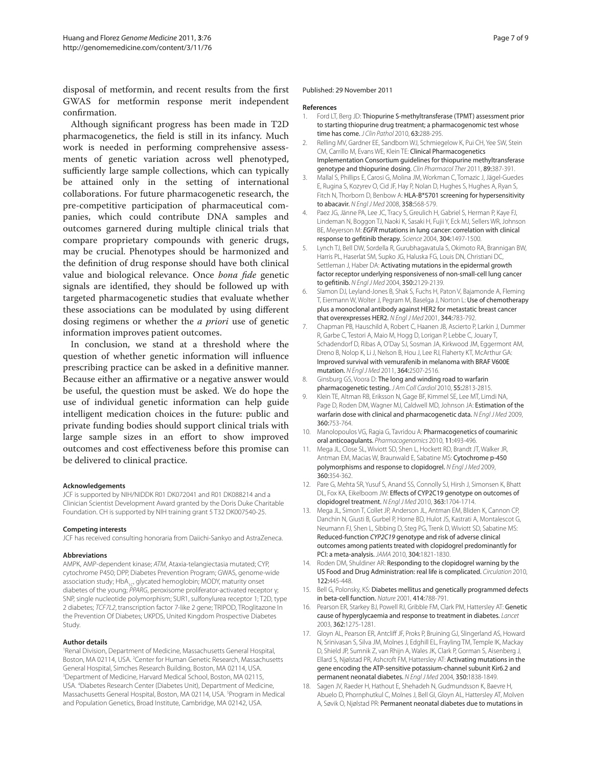disposal of metformin, and recent results from the first GWAS for metformin response merit independent confirmation.

Although significant progress has been made in T2D pharmacogenetics, the field is still in its infancy. Much work is needed in performing comprehensive assessments of genetic variation across well phenotyped, sufficiently large sample collections, which can typically be attained only in the setting of international collaborations. For future pharmacogenetic research, the pre-competitive participation of pharmaceutical companies, which could contribute DNA samples and outcomes garnered during multiple clinical trials that compare proprietary compounds with generic drugs, may be crucial. Phenotypes should be harmonized and the definition of drug response should have both clinical value and biological relevance. Once *bona fide* genetic signals are identified, they should be followed up with targeted pharmacogenetic studies that evaluate whether these associations can be modulated by using different dosing regimens or whether the *a priori* use of genetic information improves patient outcomes.

In conclusion, we stand at a threshold where the question of whether genetic information will influence prescribing practice can be asked in a definitive manner. Because either an affirmative or a negative answer would be useful, the question must be asked. We do hope the use of individual genetic information can help guide intelligent medication choices in the future: public and private funding bodies should support clinical trials with large sample sizes in an effort to show improved outcomes and cost effectiveness before this promise can be delivered to clinical practice.

#### **Acknowledgements**

JCF is supported by NIH/NIDDK R01 DK072041 and R01 DK088214 and a Clinician Scientist Development Award granted by the Doris Duke Charitable Foundation. CH is supported by NIH training grant 5 T32 DK007540-25.

#### **Competing interests**

JCF has received consulting honoraria from Daiichi-Sankyo and AstraZeneca.

#### **Abbreviations**

AMPK, AMP-dependent kinase; *ATM*, Ataxia-telangiectasia mutated; CYP, cytochrome P450; DPP, Diabetes Prevention Program; GWAS, genome-wide association study; HbA<sub>1c</sub>, glycated hemoglobin; MODY, maturity onset diabetes of the young; *PPARG*, peroxisome proliferator-activated receptor γ; SNP, single nucleotide polymorphism; SUR1, sulfonylurea receptor 1; T2D, type 2 diabetes; *TCF7L2*, transcription factor 7-like 2 gene; TRIPOD, TRoglitazone In the Prevention Of Diabetes; UKPDS, United Kingdom Prospective Diabetes Study.

#### **Author details**

1 Renal Division, Department of Medicine, Massachusetts General Hospital, Boston, MA 02114, USA. <sup>2</sup> Center for Human Genetic Research, Massachusetts General Hospital, Simches Research Building, Boston, MA 02114, USA. 3 Department of Medicine, Harvard Medical School, Boston, MA 02115, USA. 4 Diabetes Research Center (Diabetes Unit), Department of Medicine, Massachusetts General Hospital, Boston, MA 02114, USA. <sup>5</sup>Program in Medical and Population Genetics, Broad Institute, Cambridge, MA 02142, USA.

#### **References**

- 1. Ford LT, Berg JD: Thiopurine S-methyltransferase (TPMT) assessment prior to starting thiopurine drug treatment; a pharmacogenomic test whose time has come. *J Clin Pathol* 2010, 63:288-295.
- 2. Relling MV, Gardner EE, Sandborn WJ, Schmiegelow K, Pui CH, Yee SW, Stein CM, Carrillo M, Evans WE, Klein TE: Clinical Pharmacogenetics Implementation Consortium guidelines for thiopurine methyltransferase genotype and thiopurine dosing. *Clin Pharmacol Ther* 2011, 89:387-391.
- 3. Mallal S, Phillips E, Carosi G, Molina JM, Workman C, Tomazic J, Jägel-Guedes E, Rugina S, Kozyrev O, Cid JF, Hay P, Nolan D, Hughes S, Hughes A, Ryan S, Fitch N, Thorborn D, Benbow A: HLA-B\*5701 screening for hypersensitivity to abacavir. *N Engl J Med* 2008, 358:568-579.
- Paez JG, Jänne PA, Lee JC, Tracy S, Greulich H, Gabriel S, Herman P, Kaye FJ, Lindeman N, Boggon TJ, Naoki K, Sasaki H, Fujii Y, Eck MJ, Sellers WR, Johnson BE, Meyerson M: *EGFR* mutations in lung cancer: correlation with clinical response to gefitinib therapy. *Science* 2004, 304:1497-1500.
- 5. Lynch TJ, Bell DW, Sordella R, Gurubhagavatula S, Okimoto RA, Brannigan BW, Harris PL, Haserlat SM, Supko JG, Haluska FG, Louis DN, Christiani DC, Settleman J, Haber DA: Activating mutations in the epidermal growth factor receptor underlying responsiveness of non-small-cell lung cancer to gefitinib. *N Engl J Med* 2004, 350:2129-2139.
- 6. Slamon DJ, Leyland-Jones B, Shak S, Fuchs H, Paton V, Bajamonde A, Fleming T, Eiermann W, Wolter J, Pegram M, Baselga J, Norton L: Use of chemotherapy plus a monoclonal antibody against HER2 for metastatic breast cancer that overexpresses HER2. *N Engl J Med* 2001, 344:783-792.
- 7. Chapman PB, Hauschild A, Robert C, Haanen JB, Ascierto P, Larkin J, Dummer R, Garbe C, Testori A, Maio M, Hogg D, Lorigan P, Lebbe C, Jouary T, Schadendorf D, Ribas A, O'Day SJ, Sosman JA, Kirkwood JM, Eggermont AM, Dreno B, Nolop K, Li J, Nelson B, Hou J, Lee RJ, Flaherty KT, McArthur GA: Improved survival with vemurafenib in melanoma with BRAF V600E mutation. *N Engl J Med* 2011, 364:2507-2516.
- 8. Ginsburg GS, Voora D: The long and winding road to warfarin pharmacogenetic testing. *J Am Coll Cardiol* 2010, 55:2813-2815.
- 9. Klein TE, Altman RB, Eriksson N, Gage BF, Kimmel SE, Lee MT, Limdi NA, Page D, Roden DM, Wagner MJ, Caldwell MD, Johnson JA: Estimation of the warfarin dose with clinical and pharmacogenetic data. *N Engl J Med* 2009, 360:753-764.
- 10. Manolopoulos VG, Ragia G, Tavridou A: Pharmacogenetics of coumarinic oral anticoagulants. *Pharmacogenomics* 2010, 11:493-496.
- 11. Mega JL, Close SL, Wiviott SD, Shen L, Hockett RD, Brandt JT, Walker JR, Antman EM, Macias W, Braunwald E, Sabatine MS: Cytochrome p-450 polymorphisms and response to clopidogrel. *N Engl J Med* 2009, 360:354-362.
- 12. Pare G, Mehta SR, Yusuf S, Anand SS, Connolly SJ, Hirsh J, Simonsen K, Bhatt DL, Fox KA, Eikelboom JW: Effects of CYP2C19 genotype on outcomes of clopidogrel treatment. *N Engl J Med* 2010, 363:1704-1714.
- 13. Mega JL, Simon T, Collet JP, Anderson JL, Antman EM, Bliden K, Cannon CP, Danchin N, Giusti B, Gurbel P, Horne BD, Hulot JS, Kastrati A, Montalescot G, Neumann FJ, Shen L, Sibbing D, Steg PG, Trenk D, Wiviott SD, Sabatine MS: Reduced-function *CYP2C19* genotype and risk of adverse clinical outcomes among patients treated with clopidogrel predominantly for PCI: a meta-analysis. *JAMA* 2010, 304:1821-1830.
- 14. Roden DM, Shuldiner AR: Responding to the clopidogrel warning by the US Food and Drug Administration: real life is complicated. *Circulation* 2010, 122:445-448
- 15. Bell G, Polonsky, KS: Diabetes mellitus and genetically programmed defects in beta-cell function. *Nature* 2001, 414:788-791.
- Pearson ER, Starkey BJ, Powell RJ, Gribble FM, Clark PM, Hattersley AT: Genetic cause of hyperglycaemia and response to treatment in diabetes. *Lancet*  2003, 362:1275-1281.
- 17. Gloyn AL, Pearson ER, Antcliff JF, Proks P, Bruining GJ, Slingerland AS, Howard N, Srinivasan S, Silva JM, Molnes J, Edghill EL, Frayling TM, Temple IK, Mackay D, Shield JP, Sumnik Z, van Rhijn A, Wales JK, Clark P, Gorman S, Aisenberg J, Ellard S, Njølstad PR, Ashcroft FM, Hattersley AT: Activating mutations in the gene encoding the ATP-sensitive potassium-channel subunit Kir6.2 and permanent neonatal diabetes. *N Engl J Med* 2004, 350:1838-1849.
- 18. Sagen JV, Raeder H, Hathout E, Shehadeh N, Gudmundsson K, Baevre H, Abuelo D, Phornphutkul C, Molnes J, Bell GI, Gloyn AL, Hattersley AT, Molven A, Søvik O, Njølstad PR: Permanent neonatal diabetes due to mutations in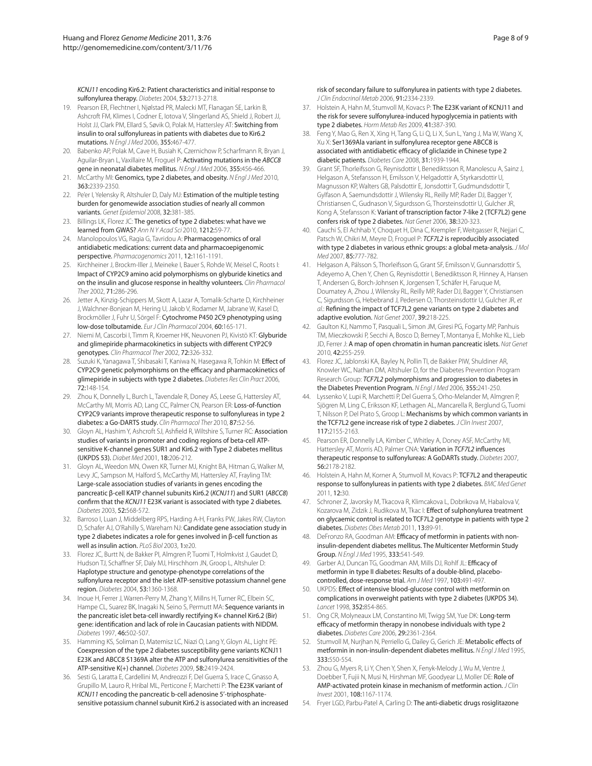*KCNJ11* encoding Kir6.2: Patient characteristics and initial response to sulfonylurea therapy. *Diabetes* 2004, 53:2713-2718.

- 19. Pearson ER, Flechtner I, Njølstad PR, Malecki MT, Flanagan SE, Larkin B, Ashcroft FM, Klimes I, Codner E, Iotova V, Slingerland AS, Shield J, Robert JJ, Holst JJ, Clark PM, Ellard S, Søvik O, Polak M, Hattersley AT: Switching from insulin to oral sulfonylureas in patients with diabetes due to Kir6.2 mutations. *N Engl J Med* 2006, 355:467-477.
- 20. Babenko AP, Polak M, Cave H, Busiah K, Czernichow P, Scharfmann R, Bryan J, Aguilar-Bryan L, Vaxillaire M, Froguel P: Activating mutations in the *ABCC8* gene in neonatal diabetes mellitus. *N Engl J Med* 2006, 355:456-466.
- 21. McCarthy MI: Genomics, type 2 diabetes, and obesity. *N Engl J Med* 2010, 363:2339-2350.
- 22. Pe'er I, Yelensky R, Altshuler D, Daly MJ: Estimation of the multiple testing burden for genomewide association studies of nearly all common variants. *Genet Epidemiol* 2008, 32:381-385.
- 23. Billings LK, Florez JC: The genetics of type 2 diabetes: what have we learned from GWAS? *Ann N Y Acad Sci* 2010, 1212:59-77.
- 24. Manolopoulos VG, Ragia G, Tavridou A: Pharmacogenomics of oral antidiabetic medications: current data and pharmacoepigenomic perspective. *Pharmacogenomics* 2011, 12:1161-1191.
- 25. Kirchheiner J, Brockm-Iller J, Meineke I, Bauer S, Rohde W, Meisel C, Roots I: Impact of CYP2C9 amino acid polymorphisms on glyburide kinetics and on the insulin and glucose response in healthy volunteers. *Clin Pharmacol Ther* 2002, 71:286-296.
- 26. Jetter A, Kinzig-Schippers M, Skott A, Lazar A, Tomalik-Scharte D, Kirchheiner J, Walchner-Bonjean M, Hering U, Jakob V, Rodamer M, Jabrane W, Kasel D, Brockmöller J, Fuhr U, Sörgel F: Cytochrome P450 2C9 phenotyping using low-dose tolbutamide. *Eur J Clin Pharmacol* 2004, 60:165-171.
- 27. Niemi M, Cascorbi I, Timm R, Kroemer HK, Neuvonen PJ, Kivistö KT: Glyburide and glimepiride pharmacokinetics in subjects with different CYP2C9 genotypes. *Clin Pharmacol Ther* 2002, 72:326-332.
- 28. Suzuki K, Yanagawa T, Shibasaki T, Kaniwa N, Hasegawa R, Tohkin M: Effect of CYP2C9 genetic polymorphisms on the efficacy and pharmacokinetics of glimepiride in subjects with type 2 diabetes. *Diabetes Res Clin Pract* 2006, 72:148-154.
- 29. Zhou K, Donnelly L, Burch L, Tavendale R, Doney AS, Leese G, Hattersley AT, McCarthy MI, Morris AD, Lang CC, Palmer CN, Pearson ER: Loss-of-function CYP2C9 variants improve therapeutic response to sulfonylureas in type 2 diabetes: a Go-DARTS study. *Clin Pharmacol Ther* 2010, 87:52-56.
- 30. Gloyn AL, Hashim Y, Ashcroft SJ, Ashfield R, Wiltshire S, Turner RC: Association studies of variants in promoter and coding regions of beta-cell ATPsensitive K-channel genes SUR1 and Kir6.2 with Type 2 diabetes mellitus (UKPDS 53). *Diabet Med* 2001, 18:206-212.
- 31. Gloyn AL, Weedon MN, Owen KR, Turner MJ, Knight BA, Hitman G, Walker M, Levy JC, Sampson M, Halford S, McCarthy MI, Hattersley AT, Frayling TM: Large-scale association studies of variants in genes encoding the pancreatic β-cell KATP channel subunits Kir6.2 (*KCNJ11*) and SUR1 (*ABCC8*) confirm that the *KCNJ11* E23K variant is associated with type 2 diabetes. *Diabetes* 2003, 52:568-572.
- 32. Barroso I, Luan J, Middelberg RPS, Harding A-H, Franks PW, Jakes RW, Clayton D, Schafer AJ, O'Rahilly S, Wareham NJ: Candidate gene association study in type 2 diabetes indicates a role for genes involved in β-cell function as well as insulin action. *PLoS Biol* 2003, 1:e20.
- 33. Florez JC, Burtt N, de Bakker PI, Almgren P, Tuomi T, Holmkvist J, Gaudet D, Hudson TJ, Schaffner SF, Daly MJ, Hirschhorn JN, Groop L, Altshuler D: Haplotype structure and genotype-phenotype correlations of the sulfonylurea receptor and the islet ATP-sensitive potassium channel gene region. *Diabetes* 2004, 53:1360-1368.
- 34. Inoue H, Ferrer J, Warren-Perry M, Zhang Y, Millns H, Turner RC, Elbein SC, Hampe CL, Suarez BK, Inagaki N, Seino S, Permutt MA: Sequence variants in the pancreatic islet beta-cell inwardly rectifying K+ channel Kir6.2 (Bir) gene: identification and lack of role in Caucasian patients with NIDDM. *Diabetes* 1997, 46:502-507.
- 35. Hamming KS, Soliman D, Matemisz LC, Niazi O, Lang Y, Gloyn AL, Light PE: Coexpression of the type 2 diabetes susceptibility gene variants KCNJ11 E23K and ABCC8 S1369A alter the ATP and sulfonylurea sensitivities of the ATP-sensitive K(+) channel. *Diabetes* 2009, 58:2419-2424.
- 36. Sesti G, Laratta E, Cardellini M, Andreozzi F, Del Guerra S, Irace C, Gnasso A, Grupillo M, Lauro R, Hribal ML, Perticone F, Marchetti P: The E23K variant of *KCNJ11* encoding the pancreatic b-cell adenosine 5'-triphosphatesensitive potassium channel subunit Kir6.2 is associated with an increased

risk of secondary failure to sulfonylurea in patients with type 2 diabetes. *J Clin Endocrinol Metab* 2006, 91:2334-2339.

- 37. Holstein A, Hahn M, Stumvoll M, Kovacs P: The E23K variant of KCNJ11 and the risk for severe sulfonylurea-induced hypoglycemia in patients with type 2 diabetes. *Horm Metab Res* 2009, 41:387-390.
- 38. Feng Y, Mao G, Ren X, Xing H, Tang G, Li Q, Li X, Sun L, Yang J, Ma W, Wang X, Xu X: Ser1369Ala variant in sulfonylurea receptor gene ABCC8 is associated with antidiabetic efficacy of gliclazide in Chinese type 2 diabetic patients. *Diabetes Care* 2008, 31:1939-1944.
- 39. Grant SF, Thorleifsson G, Reynisdottir I, Benediktsson R, Manolescu A, Sainz J, Helgason A, Stefansson H, Emilsson V, Helgadottir A, Styrkarsdottir U, Magnusson KP, Walters GB, Palsdottir E, Jonsdottir T, Gudmundsdottir T, Gylfason A, Saemundsdottir J, Wilensky RL, Reilly MP, Rader DJ, Bagger Y, Christiansen C, Gudnason V, Sigurdsson G, Thorsteinsdottir U, Gulcher JR, Kong A, Stefansson K: Variant of transcription factor 7-like 2 (TCF7L2) gene confers risk of type 2 diabetes. *Nat Genet* 2006, 38:320-323.
- 40. Cauchi S, El Achhab Y, Choquet H, Dina C, Krempler F, Weitgasser R, Nejjari C, Patsch W, Chikri M, Meyre D, Froguel P: *TCF7L2* is reproducibly associated with type 2 diabetes in various ethnic groups: a global meta-analysis. *J Mol Med* 2007, 85:777-782.
- 41. Helgason A, Pálsson S, Thorleifsson G, Grant SF, Emilsson V, Gunnarsdottir S, Adeyemo A, Chen Y, Chen G, Reynisdottir I, Benediktsson R, Hinney A, Hansen T, Andersen G, Borch-Johnsen K, Jorgensen T, Schäfer H, Faruque M, Doumatey A, Zhou J, Wilensky RL, Reilly MP, Rader DJ, Bagger Y, Christiansen C, Sigurdsson G, Hebebrand J, Pedersen O, Thorsteinsdottir U, Gulcher JR, *et al.*: Refining the impact of TCF7L2 gene variants on type 2 diabetes and adaptive evolution. *Nat Genet* 2007, 39:218-225.
- 42. Gaulton KJ, Nammo T, Pasquali L, Simon JM, Giresi PG, Fogarty MP, Panhuis TM, Mieczkowski P, Secchi A, Bosco D, Berney T, Montanya E, Mohlke KL, Lieb JD, Ferrer J: A map of open chromatin in human pancreatic islets. *Nat Genet* 2010, 42:255-259.
- 43. Florez JC, Jablonski KA, Bayley N, Pollin TI, de Bakker PIW, Shuldiner AR, Knowler WC, Nathan DM, Altshuler D, for the Diabetes Prevention Program Research Group: *TCF7L2* polymorphisms and progression to diabetes in the Diabetes Prevention Program. *N Engl J Med* 2006, 355:241-250.
- 44. Lyssenko V, Lupi R, Marchetti P, Del Guerra S, Orho-Melander M, Almgren P, Sjögren M, Ling C, Eriksson KF, Lethagen AL, Mancarella R, Berglund G, Tuomi T, Nilsson P, Del Prato S, Groop L: Mechanisms by which common variants in the TCF7L2 gene increase risk of type 2 diabetes. *J Clin Invest* 2007, 117:2155-2163.
- 45. Pearson ER, Donnelly LA, Kimber C, Whitley A, Doney ASF, McCarthy MI, Hattersley AT, Morris AD, Palmer CNA: Variation in *TCF7L2* influences therapeutic response to sulfonylureas: A GoDARTs study. *Diabetes* 2007, 56:2178-2182.
- 46. Holstein A, Hahn M, Korner A, Stumvoll M, Kovacs P: TCF7L2 and therapeutic response to sulfonylureas in patients with type 2 diabetes. *BMC Med Genet*  2011, 12:30.
- 47. Schroner Z, Javorsky M, Tkacova R, Klimcakova L, Dobrikova M, Habalova V, Kozarova M, Zidzik J, Rudikova M, Tkac I: Effect of sulphonylurea treatment on glycaemic control is related to TCF7L2 genotype in patients with type 2 diabetes. *Diabetes Obes Metab* 2011, 13:89-91.
- DeFronzo RA, Goodman AM: Efficacy of metformin in patients with noninsulin-dependent diabetes mellitus. The Multicenter Metformin Study Group. *N Engl J Med* 1995, 333:541-549.
- 49. Garber AJ, Duncan TG, Goodman AM, Mills DJ, Rohlf JL: Efficacy of metformin in type II diabetes: Results of a double-blind, placebocontrolled, dose-response trial. *Am J Med* 1997, 103:491-497.
- 50. UKPDS: Effect of intensive blood-glucose control with metformin on complications in overweight patients with type 2 diabetes (UKPDS 34). *Lancet* 1998, 352:854-865.
- 51. Ong CR, Molyneaux LM, Constantino MI, Twigg SM, Yue DK: Long-term efficacy of metformin therapy in nonobese individuals with type 2 diabetes. *Diabetes Care* 2006, 29:2361-2364.
- 52. Stumvoll M, Nurjhan N, Perriello G, Dailey G, Gerich JE: Metabolic effects of metformin in non-insulin-dependent diabetes mellitus. *N Engl J Med* 1995, 333:550-554.
- 53. Zhou G, Myers R, Li Y, Chen Y, Shen X, Fenyk-Melody J, Wu M, Ventre J, Doebber T, Fujii N, Musi N, Hirshman MF, Goodyear LJ, Moller DE: Role of AMP-activated protein kinase in mechanism of metformin action. *J Clin Invest* 2001, 108:1167-1174.
- 54. Fryer LGD, Parbu-Patel A, Carling D: The anti-diabetic drugs rosiglitazone